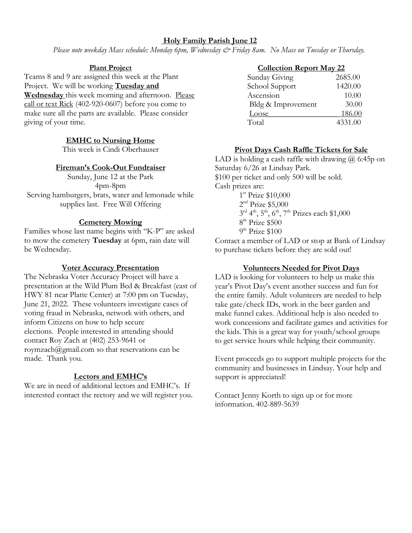# **Holy Family Parish June 12**

*Please note weekday Mass schedule: Monday 6pm, Wednesday & Friday 8am. No Mass on Tuesday or Thursday.*

#### **Plant Project**

Teams 8 and 9 are assigned this week at the Plant Project. We will be working **Tuesday and Wednesday** this week morning and afternoon. Please call or text Rick (402-920-0607) before you come to make sure all the parts are available. Please consider giving of your time.

# **EMHC to Nursing Home**

This week is Cindi Oberhauser

## **Fireman's Cook-Out Fundraiser**

Sunday, June 12 at the Park 4pm-8pm Serving hamburgers, brats, water and lemonade while supplies last. Free Will Offering

## **Cemetery Mowing**

Families whose last name begins with "K-P" are asked to mow the cemetery **Tuesday** at 6pm, rain date will be Wednesday.

#### **Voter Accuracy Presentation**

The Nebraska Voter Accuracy Project will have a presentation at the Wild Plum Bed & Breakfast (east of HWY 81 near Platte Center) at 7:00 pm on Tuesday, June 21, 2022. These volunteers investigate cases of voting fraud in Nebraska, network with others, and inform Citizens on how to help secure elections. People interested in attending should contact Roy Zach at (402) 253-9641 or [roymzach@gmail.com](mailto:roymzach@gmail.com) so that reservations can be made. Thank you.

#### **Lectors and EMHC's**

We are in need of additional lectors and EMHC's. If interested contact the rectory and we will register you.

## **Collection Report May 22** Sunday Giving 2685.00 School Support 1420.00 Ascension 10.00 Bldg & Improvement 30.00

Loose 186.00<br>Total 4331.00

4331.00

# **Pivot Days Cash Raffle Tickets for Sale**

LAD is holding a cash raffle with drawing @ 6:45p on Saturday 6/26 at Lindsay Park. \$100 per ticket and only 500 will be sold. Cash prizes are: 1<sup>st</sup> Prize \$10,000  $2<sup>nd</sup>$  Prize \$5,000  $3^{\text{rd}}$  4<sup>th</sup>, 5<sup>th</sup>, 6<sup>th</sup>, 7<sup>th</sup> Prizes each \$1,000 8<sup>th</sup> Prize \$500  $9^{\text{th}}$  Prize  $$100$ 

Contact a member of LAD or stop at Bank of Lindsay to purchase tickets before they are sold out!

#### **Volunteers Needed for Pivot Days**

LAD is looking for volunteers to help us make this year's Pivot Day's event another success and fun for the entire family. Adult volunteers are needed to help take gate/check IDs, work in the beer garden and make funnel cakes. Additional help is also needed to work concessions and facilitate games and activities for the kids. This is a great way for youth/school groups to get service hours while helping their community.

Event proceeds go to support multiple projects for the community and businesses in Lindsay. Your help and support is appreciated!

Contact Jenny Korth to sign up or for more information. 402-889-5639